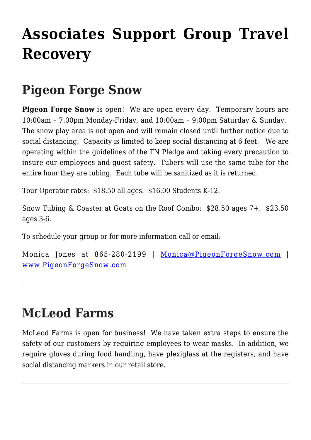## **[Associates Support Group Travel](https://www.scmotorcoach.org/associates-support-group-travel-recovery/) [Recovery](https://www.scmotorcoach.org/associates-support-group-travel-recovery/)**

## **Pigeon Forge Snow**

**Pigeon Forge Snow** is open! We are open every day. Temporary hours are 10:00am – 7:00pm Monday-Friday, and 10:00am – 9:00pm Saturday & Sunday. The snow play area is not open and will remain closed until further notice due to social distancing. Capacity is limited to keep social distancing at 6 feet. We are operating within the guidelines of the TN Pledge and taking every precaution to insure our employees and guest safety. Tubers will use the same tube for the entire hour they are tubing. Each tube will be sanitized as it is returned.

Tour Operator rates: \$18.50 all ages. \$16.00 Students K-12.

Snow Tubing & Coaster at Goats on the Roof Combo: \$28.50 ages 7+. \$23.50 ages 3-6.

To schedule your group or for more information call or email:

Monica Jones at 865-280-2199 | [Monica@PigeonForgeSnow.com](mailto:Monica@PigeonForgeSnow.com) | [www.PigeonForgeSnow.com](http://www.pigeonforgesnow.com/)

## **McLeod Farms**

McLeod Farms is open for business! We have taken extra steps to ensure the safety of our customers by requiring employees to wear masks. In addition, we require gloves during food handling, have plexiglass at the registers, and have social distancing markers in our retail store.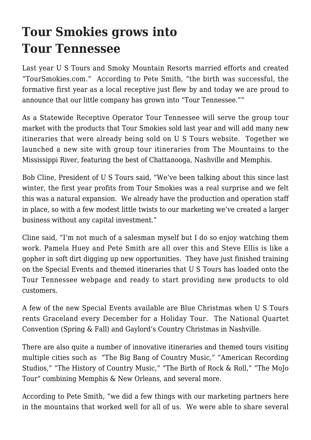## **Tour Smokies grows into Tour Tennessee**

Last year U S Tours and Smoky Mountain Resorts married efforts and created "TourSmokies.com." According to Pete Smith, "the birth was successful, the formative first year as a local receptive just flew by and today we are proud to announce that our little company has grown into "Tour Tennessee.""

As a Statewide Receptive Operator Tour Tennessee will serve the group tour market with the products that Tour Smokies sold last year and will add many new itineraries that were already being sold on U S Tours website. Together we launched a new site with group tour itineraries from The Mountains to the Mississippi River, featuring the best of Chattanooga, Nashville and Memphis.

Bob Cline, President of U S Tours said, "We've been talking about this since last winter, the first year profits from Tour Smokies was a real surprise and we felt this was a natural expansion. We already have the production and operation staff in place, so with a few modest little twists to our marketing we've created a larger business without any capital investment."

Cline said, "I'm not much of a salesman myself but I do so enjoy watching them work. Pamela Huey and Pete Smith are all over this and Steve Ellis is like a gopher in soft dirt digging up new opportunities. They have just finished training on the Special Events and themed itineraries that U S Tours has loaded onto the Tour Tennessee webpage and ready to start providing new products to old customers.

A few of the new Special Events available are Blue Christmas when U S Tours rents Graceland every December for a Holiday Tour. The National Quartet Convention (Spring & Fall) and Gaylord's Country Christmas in Nashville.

There are also quite a number of innovative itineraries and themed tours visiting multiple cities such as "The Big Bang of Country Music," "American Recording Studios," "The History of Country Music," "The Birth of Rock & Roll," "The MoJo Tour" combining Memphis & New Orleans, and several more.

According to Pete Smith, "we did a few things with our marketing partners here in the mountains that worked well for all of us. We were able to share several